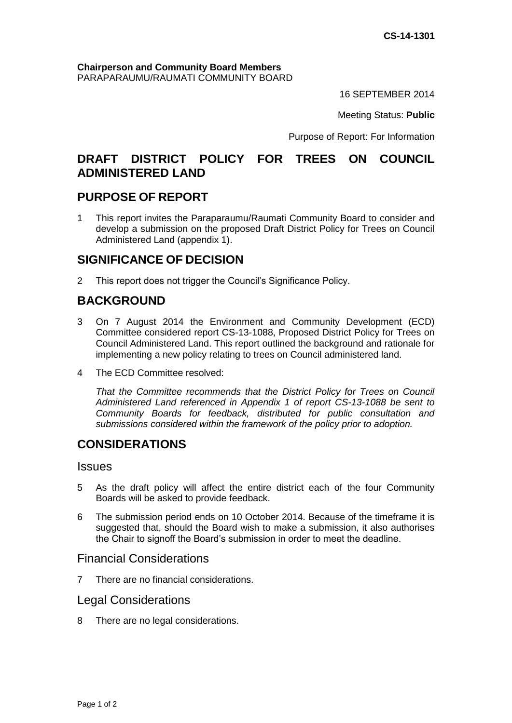#### **Chairperson and Community Board Members** PARAPARAUMU/RAUMATI COMMUNITY BOARD

16 SEPTEMBER 2014

Meeting Status: **Public**

Purpose of Report: For Information

# **DRAFT DISTRICT POLICY FOR TREES ON COUNCIL ADMINISTERED LAND**

# **PURPOSE OF REPORT**

1 This report invites the Paraparaumu/Raumati Community Board to consider and develop a submission on the proposed Draft District Policy for Trees on Council Administered Land (appendix 1).

# **SIGNIFICANCE OF DECISION**

2 This report does not trigger the Council's Significance Policy.

# **BACKGROUND**

- 3 On 7 August 2014 the Environment and Community Development (ECD) Committee considered report CS-13-1088, Proposed District Policy for Trees on Council Administered Land. This report outlined the background and rationale for implementing a new policy relating to trees on Council administered land.
- 4 The ECD Committee resolved:

*That the Committee recommends that the District Policy for Trees on Council Administered Land referenced in Appendix 1 of report CS-13-1088 be sent to Community Boards for feedback, distributed for public consultation and submissions considered within the framework of the policy prior to adoption.*

# **CONSIDERATIONS**

**Issues** 

- 5 As the draft policy will affect the entire district each of the four Community Boards will be asked to provide feedback.
- 6 The submission period ends on 10 October 2014. Because of the timeframe it is suggested that, should the Board wish to make a submission, it also authorises the Chair to signoff the Board's submission in order to meet the deadline.

### Financial Considerations

7 There are no financial considerations.

#### Legal Considerations

8 There are no legal considerations.